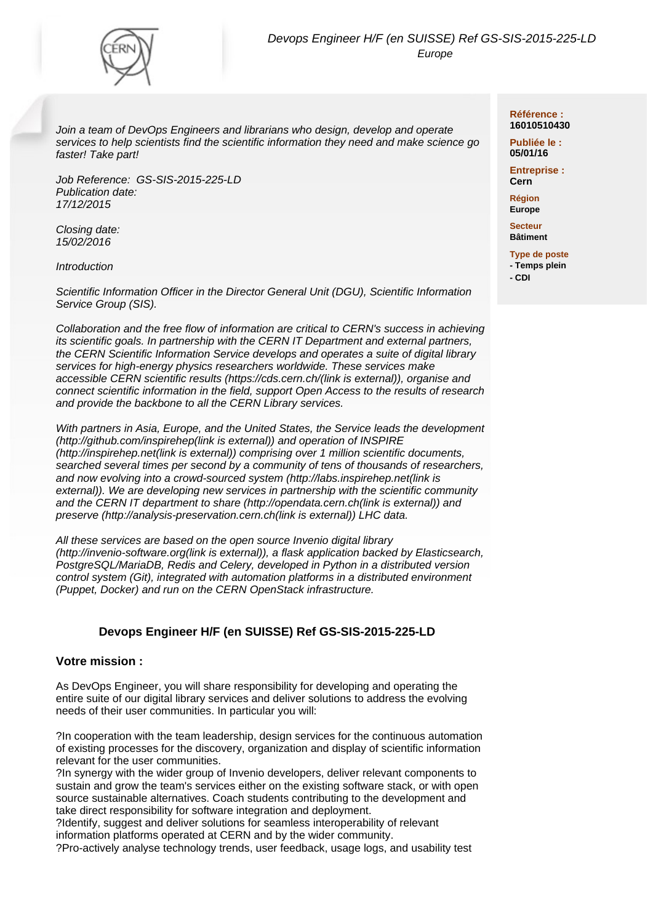

Join a team of DevOps Engineers and librarians who design, develop and operate services to help scientists find the scientific information they need and make science go faster! Take part!

Job Reference: GS-SIS-2015-225-LD Publication date: 17/12/2015

Closing date: 15/02/2016

**Introduction** 

Scientific Information Officer in the Director General Unit (DGU), Scientific Information Service Group (SIS).

Collaboration and the free flow of information are critical to CERN's success in achieving its scientific goals. In partnership with the CERN IT Department and external partners, the CERN Scientific Information Service develops and operates a suite of digital library services for high-energy physics researchers worldwide. These services make accessible CERN scientific results (https://cds.cern.ch/(link is external)), organise and connect scientific information in the field, support Open Access to the results of research and provide the backbone to all the CERN Library services.

With partners in Asia, Europe, and the United States, the Service leads the development (http://github.com/inspirehep(link is external)) and operation of INSPIRE (http://inspirehep.net(link is external)) comprising over 1 million scientific documents, searched several times per second by a community of tens of thousands of researchers, and now evolving into a crowd-sourced system (http://labs.inspirehep.net(link is external)). We are developing new services in partnership with the scientific community and the CERN IT department to share (http://opendata.cern.ch(link is external)) and preserve (http://analysis-preservation.cern.ch(link is external)) LHC data.

All these services are based on the open source Invenio digital library (http://invenio-software.org(link is external)), a flask application backed by Elasticsearch, PostgreSQL/MariaDB, Redis and Celery, developed in Python in a distributed version control system (Git), integrated with automation platforms in a distributed environment (Puppet, Docker) and run on the CERN OpenStack infrastructure.

# **Devops Engineer H/F (en SUISSE) Ref GS-SIS-2015-225-LD**

### **Votre mission :**

As DevOps Engineer, you will share responsibility for developing and operating the entire suite of our digital library services and deliver solutions to address the evolving needs of their user communities. In particular you will:

?In cooperation with the team leadership, design services for the continuous automation of existing processes for the discovery, organization and display of scientific information relevant for the user communities.

?In synergy with the wider group of Invenio developers, deliver relevant components to sustain and grow the team's services either on the existing software stack, or with open source sustainable alternatives. Coach students contributing to the development and take direct responsibility for software integration and deployment.

?Identify, suggest and deliver solutions for seamless interoperability of relevant information platforms operated at CERN and by the wider community.

?Pro-actively analyse technology trends, user feedback, usage logs, and usability test

#### **Référence : 16010510430**

**Publiée le : 05/01/16**

**Entreprise : Cern**

**Région Europe**

**Secteur Bâtiment**

**Type de poste - Temps plein - CDI**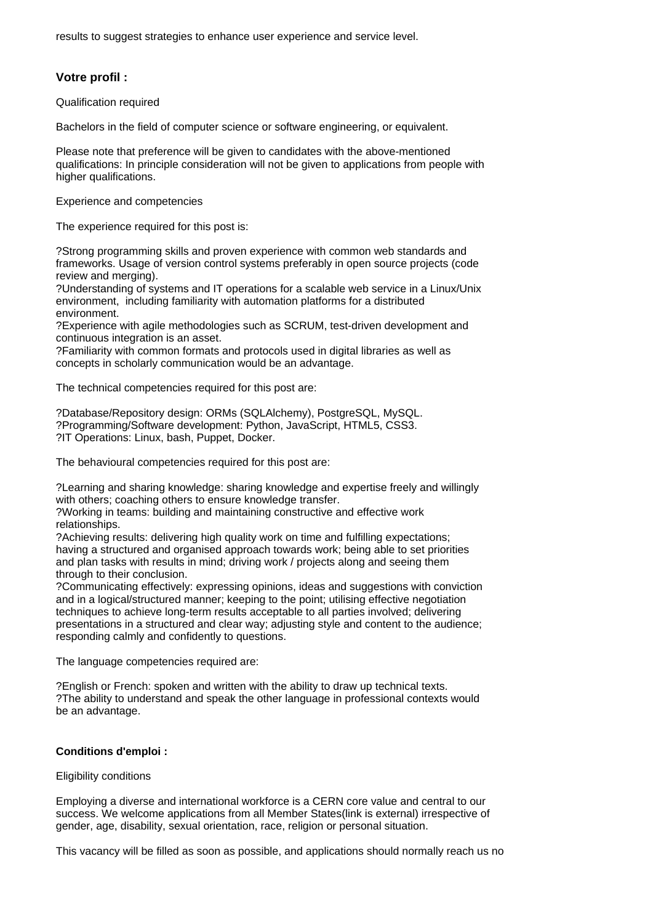results to suggest strategies to enhance user experience and service level.

## **Votre profil :**

Qualification required

Bachelors in the field of computer science or software engineering, or equivalent.

Please note that preference will be given to candidates with the above-mentioned qualifications: In principle consideration will not be given to applications from people with higher qualifications.

Experience and competencies

The experience required for this post is:

?Strong programming skills and proven experience with common web standards and frameworks. Usage of version control systems preferably in open source projects (code review and merging).

?Understanding of systems and IT operations for a scalable web service in a Linux/Unix environment, including familiarity with automation platforms for a distributed environment.

?Experience with agile methodologies such as SCRUM, test-driven development and continuous integration is an asset.

?Familiarity with common formats and protocols used in digital libraries as well as concepts in scholarly communication would be an advantage.

The technical competencies required for this post are:

?Database/Repository design: ORMs (SQLAlchemy), PostgreSQL, MySQL. ?Programming/Software development: Python, JavaScript, HTML5, CSS3. ?IT Operations: Linux, bash, Puppet, Docker.

The behavioural competencies required for this post are:

?Learning and sharing knowledge: sharing knowledge and expertise freely and willingly with others; coaching others to ensure knowledge transfer.

?Working in teams: building and maintaining constructive and effective work relationships.

?Achieving results: delivering high quality work on time and fulfilling expectations; having a structured and organised approach towards work; being able to set priorities and plan tasks with results in mind; driving work / projects along and seeing them through to their conclusion.

?Communicating effectively: expressing opinions, ideas and suggestions with conviction and in a logical/structured manner; keeping to the point; utilising effective negotiation techniques to achieve long-term results acceptable to all parties involved; delivering presentations in a structured and clear way; adjusting style and content to the audience; responding calmly and confidently to questions.

The language competencies required are:

?English or French: spoken and written with the ability to draw up technical texts. ?The ability to understand and speak the other language in professional contexts would be an advantage.

### **Conditions d'emploi :**

### Eligibility conditions

Employing a diverse and international workforce is a CERN core value and central to our success. We welcome applications from all Member States(link is external) irrespective of gender, age, disability, sexual orientation, race, religion or personal situation.

This vacancy will be filled as soon as possible, and applications should normally reach us no